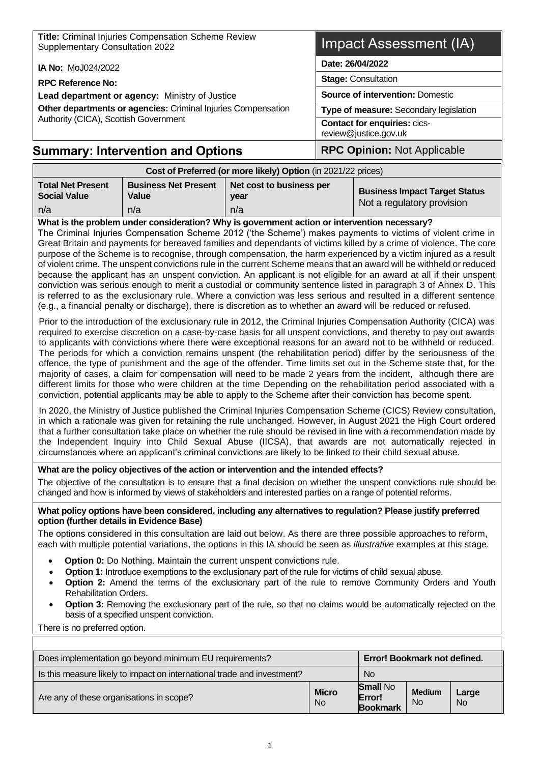| Title: Criminal Injuries Compensation Scheme Review<br>Supplementary Consultation 2022 | Impact Assessment (IA)                                       |  |  |
|----------------------------------------------------------------------------------------|--------------------------------------------------------------|--|--|
| <b>IA No: MoJ024/2022</b>                                                              | Date: 26/04/2022                                             |  |  |
| <b>RPC Reference No:</b>                                                               | <b>Stage: Consultation</b>                                   |  |  |
| Lead department or agency: Ministry of Justice                                         | <b>Source of intervention: Domestic</b>                      |  |  |
| Other departments or agencies: Criminal Injuries Compensation                          | Type of measure: Secondary legislation                       |  |  |
| Authority (CICA), Scottish Government                                                  | <b>Contact for enquiries: cics-</b><br>review@justice.gov.uk |  |  |
| <b>Summary: Intervention and Options</b>                                               | <b>RPC Opinion: Not Applicable</b>                           |  |  |

| Cost of Preferred (or more likely) Option (in 2021/22 prices) |                                      |                                  |                                                                    |  |  |  |
|---------------------------------------------------------------|--------------------------------------|----------------------------------|--------------------------------------------------------------------|--|--|--|
| <b>Total Net Present</b><br><b>Social Value</b>               | <b>Business Net Present</b><br>Value | Net cost to business per<br>vear | <b>Business Impact Target Status</b><br>Not a regulatory provision |  |  |  |
| n/a                                                           | n/a                                  | n/a                              |                                                                    |  |  |  |

**What is the problem under consideration? Why is government action or intervention necessary?** The Criminal Injuries Compensation Scheme 2012 ('the Scheme') makes payments to victims of violent crime in Great Britain and payments for bereaved families and dependants of victims killed by a crime of violence. The core purpose of the Scheme is to recognise, through compensation, the harm experienced by a victim injured as a result of violent crime. The unspent convictions rule in the current Scheme means that an award will be withheld or reduced because the applicant has an unspent conviction. An applicant is not eligible for an award at all if their unspent conviction was serious enough to merit a custodial or community sentence listed in paragraph 3 of Annex D. This is referred to as the exclusionary rule. Where a conviction was less serious and resulted in a different sentence (e.g., a financial penalty or discharge), there is discretion as to whether an award will be reduced or refused.

Prior to the introduction of the exclusionary rule in 2012, the Criminal Injuries Compensation Authority (CICA) was required to exercise discretion on a case-by-case basis for all unspent convictions, and thereby to pay out awards to applicants with convictions where there were exceptional reasons for an award not to be withheld or reduced. The periods for which a conviction remains unspent (the rehabilitation period) differ by the seriousness of the offence, the type of punishment and the age of the offender. Time limits set out in the Scheme state that, for the majority of cases, a claim for compensation will need to be made 2 years from the incident, although there are different limits for those who were children at the time Depending on the rehabilitation period associated with a conviction, potential applicants may be able to apply to the Scheme after their conviction has become spent.

In 2020, the Ministry of Justice published the Criminal Injuries Compensation Scheme (CICS) Review consultation, in which a rationale was given for retaining the rule unchanged. However, in August 2021 the High Court ordered that a further consultation take place on whether the rule should be revised in line with a recommendation made by the Independent Inquiry into Child Sexual Abuse (IICSA), that awards are not automatically rejected in circumstances where an applicant's criminal convictions are likely to be linked to their child sexual abuse.

#### **What are the policy objectives of the action or intervention and the intended effects?**

The objective of the consultation is to ensure that a final decision on whether the unspent convictions rule should be changed and how is informed by views of stakeholders and interested parties on a range of potential reforms.

#### **What policy options have been considered, including any alternatives to regulation? Please justify preferred option (further details in Evidence Base)**

The options considered in this consultation are laid out below. As there are three possible approaches to reform, each with multiple potential variations, the options in this IA should be seen as *illustrative* examples at this stage.

- **Option 0:** Do Nothing. Maintain the current unspent convictions rule.
- **Option 1:** Introduce exemptions to the exclusionary part of the rule for victims of child sexual abuse.
- **Option 2:** Amend the terms of the exclusionary part of the rule to remove Community Orders and Youth Rehabilitation Orders.
- **Option 3:** Removing the exclusionary part of the rule, so that no claims would be automatically rejected on the basis of a specified unspent conviction.

There is no preferred option.

| Error! Bookmark not defined.<br>Does implementation go beyond minimum EU requirements? |                                |                                              |                                 |                    |  |  |
|----------------------------------------------------------------------------------------|--------------------------------|----------------------------------------------|---------------------------------|--------------------|--|--|
| Is this measure likely to impact on international trade and investment?                |                                | <b>No</b>                                    |                                 |                    |  |  |
| Are any of these organisations in scope?                                               | <b>Micro</b><br>N <sub>o</sub> | <b>Small No</b><br>Error!<br><b>Bookmark</b> | <b>Medium</b><br>N <sub>o</sub> | Large<br><b>No</b> |  |  |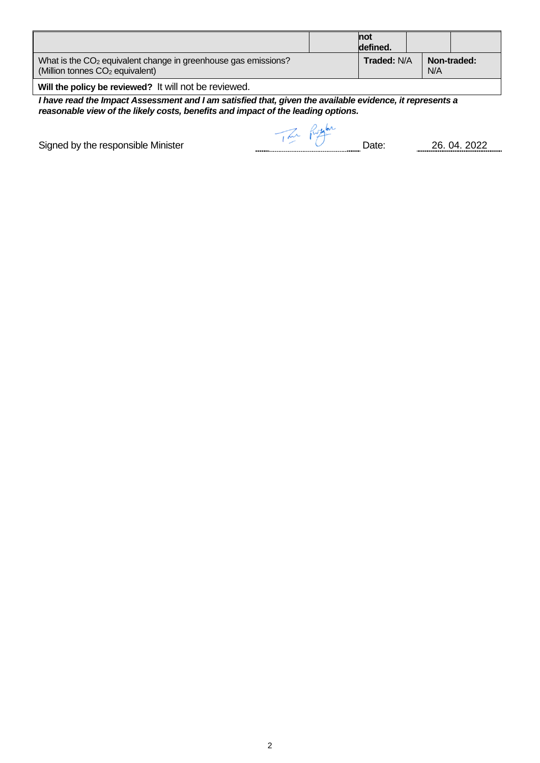|                                                                                                                           | <b>not</b><br>defined. |     |             |
|---------------------------------------------------------------------------------------------------------------------------|------------------------|-----|-------------|
| What is the CO <sub>2</sub> equivalent change in greenhouse gas emissions?<br>(Million tonnes CO <sub>2</sub> equivalent) | <b>Traded: N/A</b>     | N/A | Non-traded: |
| <b>AMERICAN DESCRIPTION OF PROPERTY AND INCOME ARRIVED ASSOCIATE</b>                                                      |                        |     |             |

**Will the policy be reviewed?** It will not be reviewed.

*I have read the Impact Assessment and I am satisfied that, given the available evidence, it represents a reasonable view of the likely costs, benefits and impact of the leading options.*

Signed by the responsible Minister and the Contract of Taxa Russelline Date: 26. 04. 2022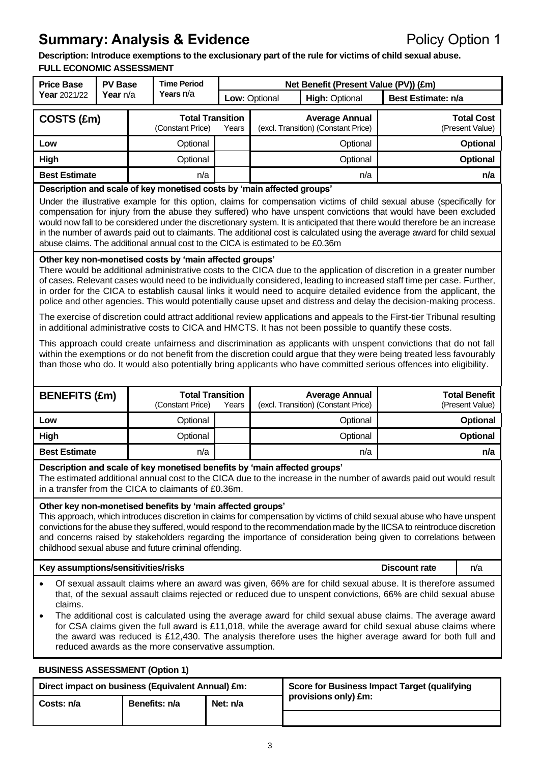## **Summary: Analysis & Evidence** Policy Option 1

**Description: Introduce exemptions to the exclusionary part of the rule for victims of child sexual abuse. FULL ECONOMIC ASSESSMENT**

| <b>Price Base</b>    | <b>PV Base</b>  | <b>Time Period</b> |                                             |       |               | Net Benefit (Present Value (PV)) (£m)                        |                                      |
|----------------------|-----------------|--------------------|---------------------------------------------|-------|---------------|--------------------------------------------------------------|--------------------------------------|
| Year 2021/22         | <b>Year</b> n/a |                    | Years n/a                                   |       | Low: Optional | <b>High: Optional</b>                                        | Best Estimate: n/a                   |
| COSTS (£m)           |                 |                    | <b>Total Transition</b><br>(Constant Price) | Years |               | <b>Average Annual</b><br>(excl. Transition) (Constant Price) | <b>Total Cost</b><br>(Present Value) |
| Low                  |                 |                    | Optional                                    |       |               | Optional                                                     | Optional                             |
| <b>High</b>          |                 |                    | Optional                                    |       |               | Optional                                                     | Optional                             |
| <b>Best Estimate</b> |                 |                    | n/a                                         |       |               | n/a                                                          | n/a                                  |
|                      |                 |                    |                                             |       |               |                                                              |                                      |

**Description and scale of key monetised costs by 'main affected groups'** 

Under the illustrative example for this option, claims for compensation victims of child sexual abuse (specifically for compensation for injury from the abuse they suffered) who have unspent convictions that would have been excluded would now fall to be considered under the discretionary system. It is anticipated that there would therefore be an increase in the number of awards paid out to claimants. The additional cost is calculated using the average award for child sexual abuse claims. The additional annual cost to the CICA is estimated to be £0.36m

#### **Other key non-monetised costs by 'main affected groups'**

There would be additional administrative costs to the CICA due to the application of discretion in a greater number of cases. Relevant cases would need to be individually considered, leading to increased staff time per case. Further, in order for the CICA to establish causal links it would need to acquire detailed evidence from the applicant, the police and other agencies. This would potentially cause upset and distress and delay the decision-making process.

The exercise of discretion could attract additional review applications and appeals to the First-tier Tribunal resulting in additional administrative costs to CICA and HMCTS. It has not been possible to quantify these costs.

This approach could create unfairness and discrimination as applicants with unspent convictions that do not fall within the exemptions or do not benefit from the discretion could argue that they were being treated less favourably than those who do. It would also potentially bring applicants who have committed serious offences into eligibility.

| <b>BENEFITS (£m)</b> | <b>Total Transition</b><br>(Constant Price) | Years | <b>Average Annual</b><br>(excl. Transition) (Constant Price) | <b>Total Benefit</b><br>(Present Value) |
|----------------------|---------------------------------------------|-------|--------------------------------------------------------------|-----------------------------------------|
| Low                  | Optional                                    |       | Optional                                                     | <b>Optional</b>                         |
| High                 | Optional                                    |       | Optional                                                     | <b>Optional</b>                         |
| <b>Best Estimate</b> | n/a                                         |       | n/a                                                          | n/a                                     |

#### **Description and scale of key monetised benefits by 'main affected groups'**

The estimated additional annual cost to the CICA due to the increase in the number of awards paid out would result in a transfer from the CICA to claimants of £0.36m.

#### **Other key non-monetised benefits by 'main affected groups'**

This approach, which introduces discretion in claims for compensation by victims of child sexual abuse who have unspent convictions for the abuse they suffered, would respond to the recommendation made by the IICSA to reintroduce discretion and concerns raised by stakeholders regarding the importance of consideration being given to correlations between childhood sexual abuse and future criminal offending.

#### **Key assumptions/sensitivities/risks Discount rate**

n/a

- **(%)** • Of sexual assault claims where an award was given, 66% are for child sexual abuse. It is therefore assumed that, of the sexual assault claims rejected or reduced due to unspent convictions, 66% are child sexual abuse claims.
- The additional cost is calculated using the average award for child sexual abuse claims. The average award for CSA claims given the full award is £11,018, while the average award for child sexual abuse claims where the award was reduced is £12,430. The analysis therefore uses the higher average award for both full and reduced awards as the more conservative assumption.

| <b>BUSINESS ASSESSMENT (Option 1)</b>             |               |          |                                              |  |  |
|---------------------------------------------------|---------------|----------|----------------------------------------------|--|--|
| Direct impact on business (Equivalent Annual) £m: |               |          | Score for Business Impact Target (qualifying |  |  |
| Costs: n/a                                        | Benefits: n/a | Net: n/a | provisions only) £m:                         |  |  |
|                                                   |               |          |                                              |  |  |

#### 3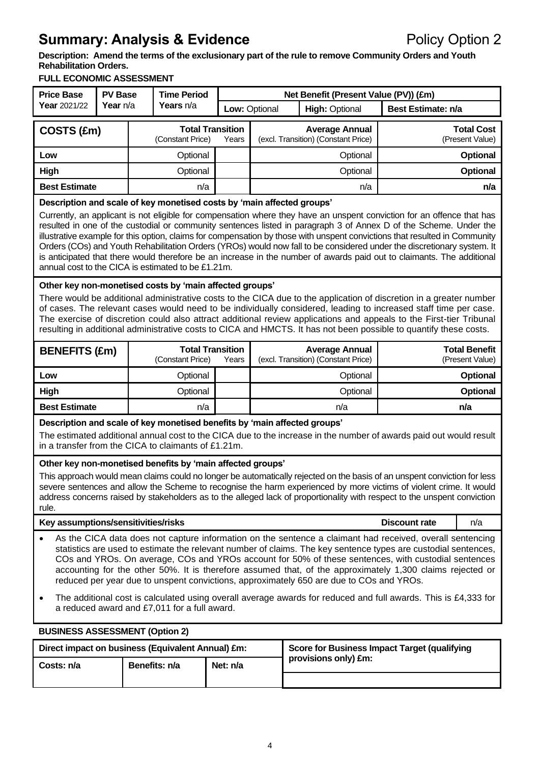# **Summary: Analysis & Evidence Policy Option 2**

**Description: Amend the terms of the exclusionary part of the rule to remove Community Orders and Youth Rehabilitation Orders.**

#### **FULL ECONOMIC ASSESSMENT**

| <b>Price Base</b>                                                                                                                                                                                                                                                                                                                                                                                                                                                                                                                                                                                                                                                                                                                                             | <b>PV Base</b><br>Year n/a                                                                                                                                                                                                                             |                                             | <b>Time Period</b>                           |       | Net Benefit (Present Value (PV)) (£m) |                                                                                                                |                    |                                         |
|---------------------------------------------------------------------------------------------------------------------------------------------------------------------------------------------------------------------------------------------------------------------------------------------------------------------------------------------------------------------------------------------------------------------------------------------------------------------------------------------------------------------------------------------------------------------------------------------------------------------------------------------------------------------------------------------------------------------------------------------------------------|--------------------------------------------------------------------------------------------------------------------------------------------------------------------------------------------------------------------------------------------------------|---------------------------------------------|----------------------------------------------|-------|---------------------------------------|----------------------------------------------------------------------------------------------------------------|--------------------|-----------------------------------------|
| Year 2021/22                                                                                                                                                                                                                                                                                                                                                                                                                                                                                                                                                                                                                                                                                                                                                  |                                                                                                                                                                                                                                                        |                                             | Years n/a                                    |       | Low: Optional                         | <b>High: Optional</b>                                                                                          | Best Estimate: n/a |                                         |
| COSTS (£m)                                                                                                                                                                                                                                                                                                                                                                                                                                                                                                                                                                                                                                                                                                                                                    |                                                                                                                                                                                                                                                        |                                             | <b>Total Transition</b><br>(Constant Price)  | Years |                                       | <b>Average Annual</b><br>(excl. Transition) (Constant Price)                                                   |                    | <b>Total Cost</b><br>(Present Value)    |
| Low                                                                                                                                                                                                                                                                                                                                                                                                                                                                                                                                                                                                                                                                                                                                                           |                                                                                                                                                                                                                                                        |                                             | Optional                                     |       |                                       | Optional                                                                                                       |                    | <b>Optional</b>                         |
| High                                                                                                                                                                                                                                                                                                                                                                                                                                                                                                                                                                                                                                                                                                                                                          |                                                                                                                                                                                                                                                        |                                             | Optional                                     |       |                                       | Optional                                                                                                       |                    | <b>Optional</b>                         |
| <b>Best Estimate</b>                                                                                                                                                                                                                                                                                                                                                                                                                                                                                                                                                                                                                                                                                                                                          |                                                                                                                                                                                                                                                        |                                             | n/a                                          |       |                                       | n/a                                                                                                            |                    | n/a                                     |
| Description and scale of key monetised costs by 'main affected groups'<br>Currently, an applicant is not eligible for compensation where they have an unspent conviction for an offence that has<br>resulted in one of the custodial or community sentences listed in paragraph 3 of Annex D of the Scheme. Under the<br>illustrative example for this option, claims for compensation by those with unspent convictions that resulted in Community<br>Orders (COs) and Youth Rehabilitation Orders (YROs) would now fall to be considered under the discretionary system. It<br>is anticipated that there would therefore be an increase in the number of awards paid out to claimants. The additional<br>annual cost to the CICA is estimated to be £1.21m. |                                                                                                                                                                                                                                                        |                                             |                                              |       |                                       |                                                                                                                |                    |                                         |
| Other key non-monetised costs by 'main affected groups'<br>There would be additional administrative costs to the CICA due to the application of discretion in a greater number<br>of cases. The relevant cases would need to be individually considered, leading to increased staff time per case.<br>The exercise of discretion could also attract additional review applications and appeals to the First-tier Tribunal<br>resulting in additional administrative costs to CICA and HMCTS. It has not been possible to quantify these costs.                                                                                                                                                                                                                |                                                                                                                                                                                                                                                        |                                             |                                              |       |                                       |                                                                                                                |                    |                                         |
| <b>BENEFITS (£m)</b>                                                                                                                                                                                                                                                                                                                                                                                                                                                                                                                                                                                                                                                                                                                                          |                                                                                                                                                                                                                                                        | <b>Total Transition</b><br>(Constant Price) |                                              | Years |                                       | <b>Average Annual</b><br>(excl. Transition) (Constant Price)                                                   |                    | <b>Total Benefit</b><br>(Present Value) |
| Low                                                                                                                                                                                                                                                                                                                                                                                                                                                                                                                                                                                                                                                                                                                                                           |                                                                                                                                                                                                                                                        |                                             | Optional                                     |       |                                       | Optional                                                                                                       |                    | <b>Optional</b>                         |
| <b>High</b>                                                                                                                                                                                                                                                                                                                                                                                                                                                                                                                                                                                                                                                                                                                                                   |                                                                                                                                                                                                                                                        |                                             | Optional                                     |       |                                       | Optional                                                                                                       |                    | Optional                                |
| <b>Best Estimate</b>                                                                                                                                                                                                                                                                                                                                                                                                                                                                                                                                                                                                                                                                                                                                          |                                                                                                                                                                                                                                                        |                                             | n/a                                          |       |                                       | n/a                                                                                                            |                    | n/a                                     |
|                                                                                                                                                                                                                                                                                                                                                                                                                                                                                                                                                                                                                                                                                                                                                               | Description and scale of key monetised benefits by 'main affected groups'<br>The estimated additional annual cost to the CICA due to the increase in the number of awards paid out would result<br>in a transfer from the CICA to claimants of £1.21m. |                                             |                                              |       |                                       |                                                                                                                |                    |                                         |
| Other key non-monetised benefits by 'main affected groups'<br>This approach would mean claims could no longer be automatically rejected on the basis of an unspent conviction for less<br>severe sentences and allow the Scheme to recognise the harm experienced by more victims of violent crime. It would<br>address concerns raised by stakeholders as to the alleged lack of proportionality with respect to the unspent conviction<br>rule.                                                                                                                                                                                                                                                                                                             |                                                                                                                                                                                                                                                        |                                             |                                              |       |                                       |                                                                                                                |                    |                                         |
| Key assumptions/sensitivities/risks                                                                                                                                                                                                                                                                                                                                                                                                                                                                                                                                                                                                                                                                                                                           |                                                                                                                                                                                                                                                        |                                             |                                              |       |                                       | <b>Discount rate</b>                                                                                           | n/a                |                                         |
| As the CICA data does not capture information on the sentence a claimant had received, overall sentencing<br>statistics are used to estimate the relevant number of claims. The key sentence types are custodial sentences,<br>COs and YROs. On average, COs and YROs account for 50% of these sentences, with custodial sentences<br>accounting for the other 50%. It is therefore assumed that, of the approximately 1,300 claims rejected or<br>reduced per year due to unspent convictions, approximately 650 are due to COs and YROs.                                                                                                                                                                                                                    |                                                                                                                                                                                                                                                        |                                             |                                              |       |                                       |                                                                                                                |                    |                                         |
| $\bullet$                                                                                                                                                                                                                                                                                                                                                                                                                                                                                                                                                                                                                                                                                                                                                     |                                                                                                                                                                                                                                                        |                                             | a reduced award and £7,011 for a full award. |       |                                       | The additional cost is calculated using overall average awards for reduced and full awards. This is £4,333 for |                    |                                         |
| <b>BUSINESS ASSESSMENT (Option 2)</b>                                                                                                                                                                                                                                                                                                                                                                                                                                                                                                                                                                                                                                                                                                                         |                                                                                                                                                                                                                                                        |                                             |                                              |       |                                       |                                                                                                                |                    |                                         |

| Direct impact on business (Equivalent Annual) £m: |               |          | Score for Business Impact Target (qualifying |
|---------------------------------------------------|---------------|----------|----------------------------------------------|
| Costs: n/a                                        | Benefits: n/a | Net: n/a | provisions only) £m:                         |
|                                                   |               |          |                                              |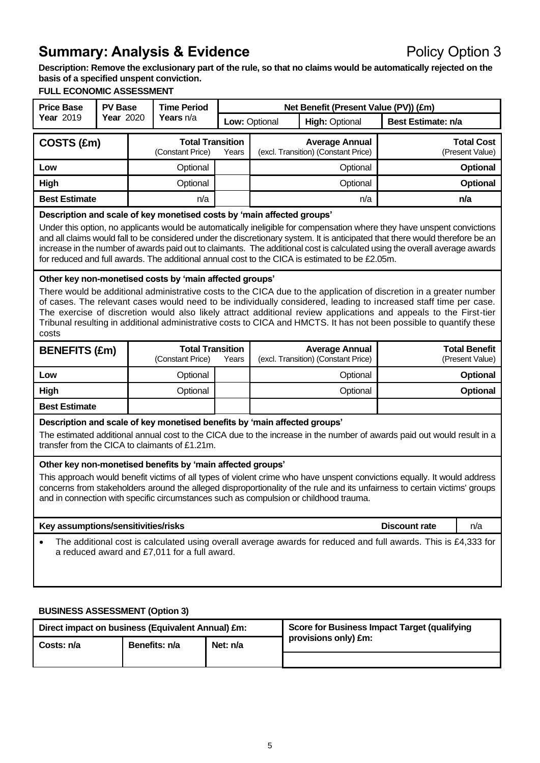# **Summary: Analysis & Evidence Policy Option 3**

**Description: Remove the exclusionary part of the rule, so that no claims would be automatically rejected on the basis of a specified unspent conviction.**

### **FULL ECONOMIC ASSESSMENT**

| <b>Price Base</b>                                                                                                                                                                                                                                                                                                                                                                                                                                                                                                                                                  | <b>PV Base</b>                                                     |  | <b>Time Period</b>                          |       |               | Net Benefit (Present Value (PV)) (£m)                        |                    |                                         |
|--------------------------------------------------------------------------------------------------------------------------------------------------------------------------------------------------------------------------------------------------------------------------------------------------------------------------------------------------------------------------------------------------------------------------------------------------------------------------------------------------------------------------------------------------------------------|--------------------------------------------------------------------|--|---------------------------------------------|-------|---------------|--------------------------------------------------------------|--------------------|-----------------------------------------|
| Year 2019                                                                                                                                                                                                                                                                                                                                                                                                                                                                                                                                                          | <b>Year 2020</b>                                                   |  | Years n/a                                   |       | Low: Optional | <b>High: Optional</b>                                        | Best Estimate: n/a |                                         |
| COSTS (£m)                                                                                                                                                                                                                                                                                                                                                                                                                                                                                                                                                         |                                                                    |  | <b>Total Transition</b><br>(Constant Price) | Years |               | <b>Average Annual</b><br>(excl. Transition) (Constant Price) |                    | <b>Total Cost</b><br>(Present Value)    |
| Low                                                                                                                                                                                                                                                                                                                                                                                                                                                                                                                                                                |                                                                    |  | Optional                                    |       |               | Optional                                                     |                    | <b>Optional</b>                         |
| High                                                                                                                                                                                                                                                                                                                                                                                                                                                                                                                                                               |                                                                    |  | Optional                                    |       |               | Optional                                                     |                    | <b>Optional</b>                         |
| <b>Best Estimate</b>                                                                                                                                                                                                                                                                                                                                                                                                                                                                                                                                               |                                                                    |  | n/a                                         |       |               | n/a                                                          |                    | n/a                                     |
| Description and scale of key monetised costs by 'main affected groups'<br>Under this option, no applicants would be automatically ineligible for compensation where they have unspent convictions<br>and all claims would fall to be considered under the discretionary system. It is anticipated that there would therefore be an<br>increase in the number of awards paid out to claimants. The additional cost is calculated using the overall average awards<br>for reduced and full awards. The additional annual cost to the CICA is estimated to be £2.05m. |                                                                    |  |                                             |       |               |                                                              |                    |                                         |
| Other key non-monetised costs by 'main affected groups'<br>There would be additional administrative costs to the CICA due to the application of discretion in a greater number<br>of cases. The relevant cases would need to be individually considered, leading to increased staff time per case.<br>The exercise of discretion would also likely attract additional review applications and appeals to the First-tier<br>Tribunal resulting in additional administrative costs to CICA and HMCTS. It has not been possible to quantify these<br>costs            |                                                                    |  |                                             |       |               |                                                              |                    |                                         |
| <b>BENEFITS (£m)</b>                                                                                                                                                                                                                                                                                                                                                                                                                                                                                                                                               |                                                                    |  | <b>Total Transition</b><br>(Constant Price) | Years |               | <b>Average Annual</b><br>(excl. Transition) (Constant Price) |                    | <b>Total Benefit</b><br>(Present Value) |
| Low                                                                                                                                                                                                                                                                                                                                                                                                                                                                                                                                                                |                                                                    |  | Optional                                    |       |               | Optional                                                     |                    | Optional                                |
| High                                                                                                                                                                                                                                                                                                                                                                                                                                                                                                                                                               |                                                                    |  | Optional                                    |       |               | Optional                                                     |                    | <b>Optional</b>                         |
| <b>Best Estimate</b>                                                                                                                                                                                                                                                                                                                                                                                                                                                                                                                                               |                                                                    |  |                                             |       |               |                                                              |                    |                                         |
| Description and scale of key monetised benefits by 'main affected groups'<br>The estimated additional annual cost to the CICA due to the increase in the number of awards paid out would result in a<br>transfer from the CICA to claimants of £1.21m.                                                                                                                                                                                                                                                                                                             |                                                                    |  |                                             |       |               |                                                              |                    |                                         |
| Other key non-monetised benefits by 'main affected groups'<br>This approach would benefit victims of all types of violent crime who have unspent convictions equally. It would address<br>concerns from stakeholders around the alleged disproportionality of the rule and its unfairness to certain victims' groups<br>and in connection with specific circumstances such as compulsion or childhood trauma.                                                                                                                                                      |                                                                    |  |                                             |       |               |                                                              |                    |                                         |
|                                                                                                                                                                                                                                                                                                                                                                                                                                                                                                                                                                    | Key assumptions/sensitivities/risks<br><b>Discount rate</b><br>n/a |  |                                             |       |               |                                                              |                    |                                         |
| The additional cost is calculated using overall average awards for reduced and full awards. This is £4,333 for<br>$\bullet$<br>a reduced award and £7,011 for a full award.                                                                                                                                                                                                                                                                                                                                                                                        |                                                                    |  |                                             |       |               |                                                              |                    |                                         |
| <b>BUSINESS ASSESSMENT (Option 3)</b>                                                                                                                                                                                                                                                                                                                                                                                                                                                                                                                              |                                                                    |  |                                             |       |               |                                                              |                    |                                         |

| Direct impact on business (Equivalent Annual) £m: |               |          | Score for Business Impact Target (qualifying |
|---------------------------------------------------|---------------|----------|----------------------------------------------|
| Costs: n/a                                        | Benefits: n/a | Net: n/a | provisions only) £m:                         |
|                                                   |               |          |                                              |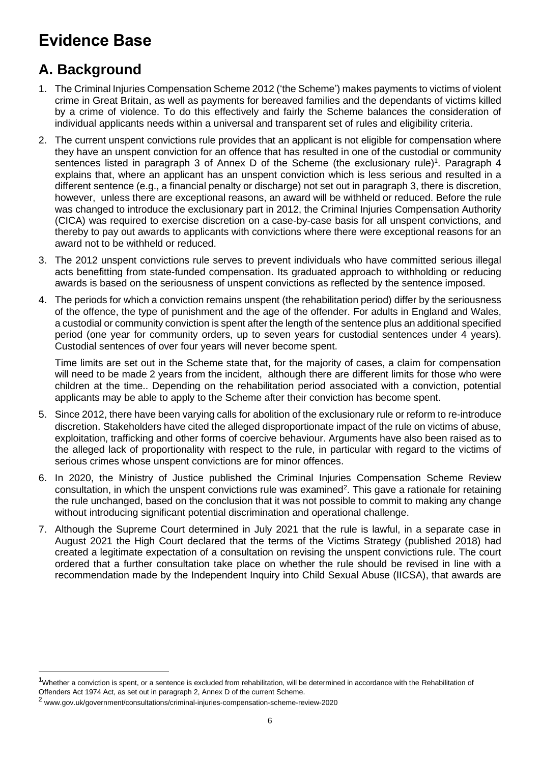# **Evidence Base**

# **A. Background**

- 1. The Criminal Injuries Compensation Scheme 2012 ('the Scheme') makes payments to victims of violent crime in Great Britain, as well as payments for bereaved families and the dependants of victims killed by a crime of violence. To do this effectively and fairly the Scheme balances the consideration of individual applicants needs within a universal and transparent set of rules and eligibility criteria.
- 2. The current unspent convictions rule provides that an applicant is not eligible for compensation where they have an unspent conviction for an offence that has resulted in one of the custodial or community sentences listed in paragraph 3 of Annex D of the Scheme (the exclusionary rule)<sup>1</sup>. Paragraph 4 explains that, where an applicant has an unspent conviction which is less serious and resulted in a different sentence (e.g., a financial penalty or discharge) not set out in paragraph 3, there is discretion, however, unless there are exceptional reasons, an award will be withheld or reduced. Before the rule was changed to introduce the exclusionary part in 2012, the Criminal Injuries Compensation Authority (CICA) was required to exercise discretion on a case-by-case basis for all unspent convictions, and thereby to pay out awards to applicants with convictions where there were exceptional reasons for an award not to be withheld or reduced.
- 3. The 2012 unspent convictions rule serves to prevent individuals who have committed serious illegal acts benefitting from state-funded compensation. Its graduated approach to withholding or reducing awards is based on the seriousness of unspent convictions as reflected by the sentence imposed.
- 4. The periods for which a conviction remains unspent (the rehabilitation period) differ by the seriousness of the offence, the type of punishment and the age of the offender. For adults in England and Wales, a custodial or community conviction is spent after the length of the sentence plus an additional specified period (one year for community orders, up to seven years for custodial sentences under 4 years). Custodial sentences of over four years will never become spent.

Time limits are set out in the Scheme state that, for the majority of cases, a claim for compensation will need to be made 2 years from the incident, although there are different limits for those who were children at the time.. Depending on the rehabilitation period associated with a conviction, potential applicants may be able to apply to the Scheme after their conviction has become spent.

- 5. Since 2012, there have been varying calls for abolition of the exclusionary rule or reform to re-introduce discretion. Stakeholders have cited the alleged disproportionate impact of the rule on victims of abuse, exploitation, trafficking and other forms of coercive behaviour. Arguments have also been raised as to the alleged lack of proportionality with respect to the rule, in particular with regard to the victims of serious crimes whose unspent convictions are for minor offences.
- 6. In 2020, the Ministry of Justice published the Criminal Injuries Compensation Scheme Review  $\alpha$ consultation, in which the unspent convictions rule was examined<sup>2</sup>. This gave a rationale for retaining the rule unchanged, based on the conclusion that it was not possible to commit to making any change without introducing significant potential discrimination and operational challenge.
- 7. Although the Supreme Court determined in July 2021 that the rule is lawful, in a separate case in August 2021 the High Court declared that the terms of the Victims Strategy (published 2018) had created a legitimate expectation of a consultation on revising the unspent convictions rule. The court ordered that a further consultation take place on whether the rule should be revised in line with a recommendation made by the Independent Inquiry into Child Sexual Abuse (IICSA), that awards are

 $1$ Whether a conviction is spent, or a sentence is excluded from rehabilitation, will be determined in accordance with the Rehabilitation of Offenders Act 1974 Act, as set out in paragraph 2, Annex D of the current Scheme.

<sup>2</sup> www.gov.uk/government/consultations/criminal-injuries-compensation-scheme-review-2020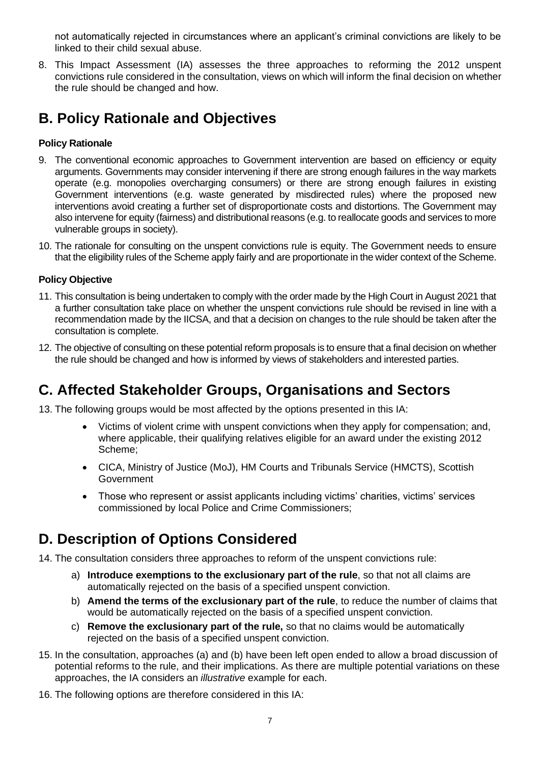not automatically rejected in circumstances where an applicant's criminal convictions are likely to be linked to their child sexual abuse.

8. This Impact Assessment (IA) assesses the three approaches to reforming the 2012 unspent convictions rule considered in the consultation, views on which will inform the final decision on whether the rule should be changed and how.

## **B. Policy Rationale and Objectives**

#### **Policy Rationale**

- 9. The conventional economic approaches to Government intervention are based on efficiency or equity arguments. Governments may consider intervening if there are strong enough failures in the way markets operate (e.g. monopolies overcharging consumers) or there are strong enough failures in existing Government interventions (e.g. waste generated by misdirected rules) where the proposed new interventions avoid creating a further set of disproportionate costs and distortions. The Government may also intervene for equity (fairness) and distributional reasons (e.g. to reallocate goods and services to more vulnerable groups in society).
- 10. The rationale for consulting on the unspent convictions rule is equity. The Government needs to ensure that the eligibility rules of the Scheme apply fairly and are proportionate in the wider context of the Scheme.

#### **Policy Objective**

- 11. This consultation is being undertaken to comply with the order made by the High Court in August 2021 that a further consultation take place on whether the unspent convictions rule should be revised in line with a recommendation made by the IICSA, and that a decision on changes to the rule should be taken after the consultation is complete.
- 12. The objective of consulting on these potential reform proposals is to ensure that a final decision on whether the rule should be changed and how is informed by views of stakeholders and interested parties.

### **C. Affected Stakeholder Groups, Organisations and Sectors**

13. The following groups would be most affected by the options presented in this IA:

- Victims of violent crime with unspent convictions when they apply for compensation; and, where applicable, their qualifying relatives eligible for an award under the existing 2012 Scheme;
- CICA, Ministry of Justice (MoJ), HM Courts and Tribunals Service (HMCTS), Scottish Government
- Those who represent or assist applicants including victims' charities, victims' services commissioned by local Police and Crime Commissioners;

## **D. Description of Options Considered**

- 14. The consultation considers three approaches to reform of the unspent convictions rule:
	- a) **Introduce exemptions to the exclusionary part of the rule**, so that not all claims are automatically rejected on the basis of a specified unspent conviction.
	- b) **Amend the terms of the exclusionary part of the rule**, to reduce the number of claims that would be automatically rejected on the basis of a specified unspent conviction.
	- c) **Remove the exclusionary part of the rule,** so that no claims would be automatically rejected on the basis of a specified unspent conviction.
- 15. In the consultation, approaches (a) and (b) have been left open ended to allow a broad discussion of potential reforms to the rule, and their implications. As there are multiple potential variations on these approaches, the IA considers an *illustrative* example for each.
- 16. The following options are therefore considered in this IA: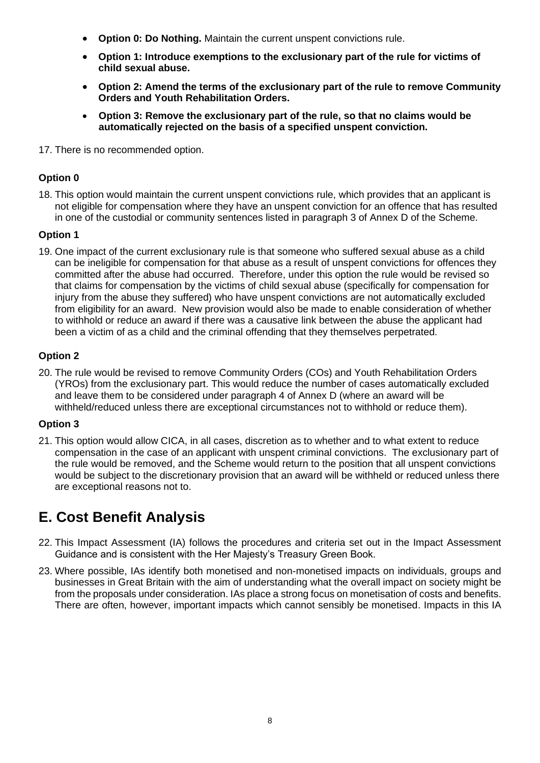- **Option 0: Do Nothing.** Maintain the current unspent convictions rule.
- **Option 1: Introduce exemptions to the exclusionary part of the rule for victims of child sexual abuse.**
- **Option 2: Amend the terms of the exclusionary part of the rule to remove Community Orders and Youth Rehabilitation Orders.**
- **Option 3: Remove the exclusionary part of the rule, so that no claims would be automatically rejected on the basis of a specified unspent conviction.**
- 17. There is no recommended option.

#### **Option 0**

18. This option would maintain the current unspent convictions rule, which provides that an applicant is not eligible for compensation where they have an unspent conviction for an offence that has resulted in one of the custodial or community sentences listed in paragraph 3 of Annex D of the Scheme.

#### **Option 1**

19. One impact of the current exclusionary rule is that someone who suffered sexual abuse as a child can be ineligible for compensation for that abuse as a result of unspent convictions for offences they committed after the abuse had occurred. Therefore, under this option the rule would be revised so that claims for compensation by the victims of child sexual abuse (specifically for compensation for injury from the abuse they suffered) who have unspent convictions are not automatically excluded from eligibility for an award. New provision would also be made to enable consideration of whether to withhold or reduce an award if there was a causative link between the abuse the applicant had been a victim of as a child and the criminal offending that they themselves perpetrated.

#### **Option 2**

20. The rule would be revised to remove Community Orders (COs) and Youth Rehabilitation Orders (YROs) from the exclusionary part. This would reduce the number of cases automatically excluded and leave them to be considered under paragraph 4 of Annex D (where an award will be withheld/reduced unless there are exceptional circumstances not to withhold or reduce them).

#### **Option 3**

21. This option would allow CICA, in all cases, discretion as to whether and to what extent to reduce compensation in the case of an applicant with unspent criminal convictions. The exclusionary part of the rule would be removed, and the Scheme would return to the position that all unspent convictions would be subject to the discretionary provision that an award will be withheld or reduced unless there are exceptional reasons not to.

## **E. Cost Benefit Analysis**

- 22. This Impact Assessment (IA) follows the procedures and criteria set out in the Impact Assessment Guidance and is consistent with the Her Majesty's Treasury Green Book.
- 23. Where possible, IAs identify both monetised and non-monetised impacts on individuals, groups and businesses in Great Britain with the aim of understanding what the overall impact on society might be from the proposals under consideration. IAs place a strong focus on monetisation of costs and benefits. There are often, however, important impacts which cannot sensibly be monetised. Impacts in this IA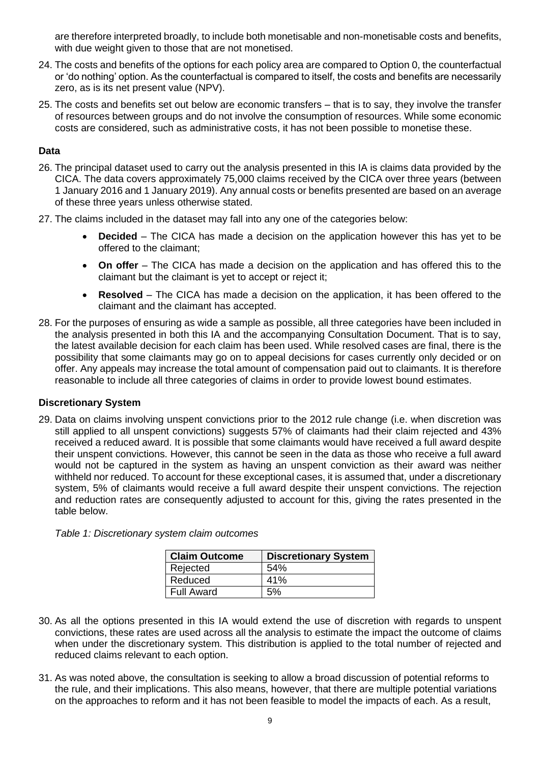are therefore interpreted broadly, to include both monetisable and non-monetisable costs and benefits, with due weight given to those that are not monetised.

- 24. The costs and benefits of the options for each policy area are compared to Option 0, the counterfactual or 'do nothing' option. As the counterfactual is compared to itself, the costs and benefits are necessarily zero, as is its net present value (NPV).
- 25. The costs and benefits set out below are economic transfers that is to say, they involve the transfer of resources between groups and do not involve the consumption of resources. While some economic costs are considered, such as administrative costs, it has not been possible to monetise these.

#### **Data**

- 26. The principal dataset used to carry out the analysis presented in this IA is claims data provided by the CICA. The data covers approximately 75,000 claims received by the CICA over three years (between 1 January 2016 and 1 January 2019). Any annual costs or benefits presented are based on an average of these three years unless otherwise stated.
- 27. The claims included in the dataset may fall into any one of the categories below:
	- **Decided** The CICA has made a decision on the application however this has yet to be offered to the claimant;
	- **On offer** The CICA has made a decision on the application and has offered this to the claimant but the claimant is yet to accept or reject it;
	- **Resolved** The CICA has made a decision on the application, it has been offered to the claimant and the claimant has accepted.
- 28. For the purposes of ensuring as wide a sample as possible, all three categories have been included in the analysis presented in both this IA and the accompanying Consultation Document. That is to say, the latest available decision for each claim has been used. While resolved cases are final, there is the possibility that some claimants may go on to appeal decisions for cases currently only decided or on offer. Any appeals may increase the total amount of compensation paid out to claimants. It is therefore reasonable to include all three categories of claims in order to provide lowest bound estimates.

#### **Discretionary System**

29. Data on claims involving unspent convictions prior to the 2012 rule change (i.e. when discretion was still applied to all unspent convictions) suggests 57% of claimants had their claim rejected and 43% received a reduced award. It is possible that some claimants would have received a full award despite their unspent convictions. However, this cannot be seen in the data as those who receive a full award would not be captured in the system as having an unspent conviction as their award was neither withheld nor reduced. To account for these exceptional cases, it is assumed that, under a discretionary system, 5% of claimants would receive a full award despite their unspent convictions. The rejection and reduction rates are consequently adjusted to account for this, giving the rates presented in the table below.

| <b>Claim Outcome</b> | <b>Discretionary System</b> |
|----------------------|-----------------------------|
| Rejected             | 54%                         |
| Reduced              | 41%                         |
| <b>Full Award</b>    | 5%                          |

- 30. As all the options presented in this IA would extend the use of discretion with regards to unspent convictions, these rates are used across all the analysis to estimate the impact the outcome of claims when under the discretionary system. This distribution is applied to the total number of rejected and reduced claims relevant to each option.
- 31. As was noted above, the consultation is seeking to allow a broad discussion of potential reforms to the rule, and their implications. This also means, however, that there are multiple potential variations on the approaches to reform and it has not been feasible to model the impacts of each. As a result,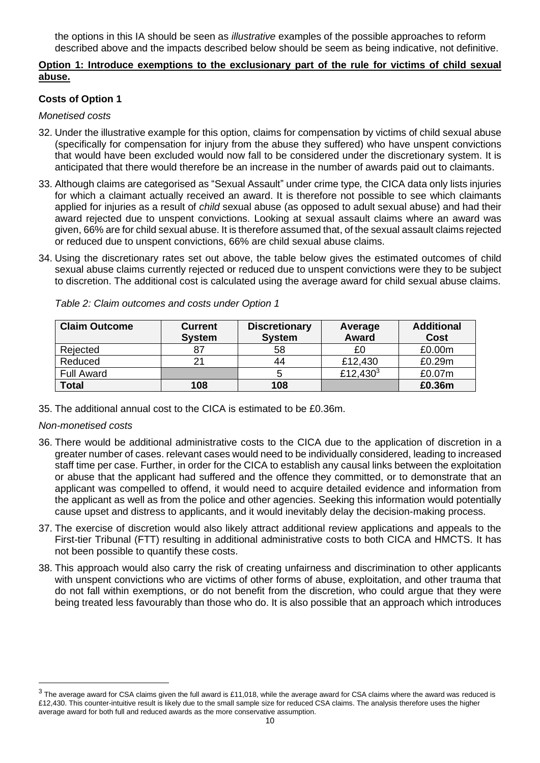the options in this IA should be seen as *illustrative* examples of the possible approaches to reform described above and the impacts described below should be seem as being indicative, not definitive.

#### **Option 1: Introduce exemptions to the exclusionary part of the rule for victims of child sexual abuse.**

#### **Costs of Option 1**

#### *Monetised costs*

- 32. Under the illustrative example for this option, claims for compensation by victims of child sexual abuse (specifically for compensation for injury from the abuse they suffered) who have unspent convictions that would have been excluded would now fall to be considered under the discretionary system. It is anticipated that there would therefore be an increase in the number of awards paid out to claimants.
- 33. Although claims are categorised as "Sexual Assault" under crime type*,* the CICA data only lists injuries for which a claimant actually received an award. It is therefore not possible to see which claimants applied for injuries as a result of *child* sexual abuse (as opposed to adult sexual abuse) and had their award rejected due to unspent convictions. Looking at sexual assault claims where an award was given, 66% are for child sexual abuse. It is therefore assumed that, of the sexual assault claims rejected or reduced due to unspent convictions, 66% are child sexual abuse claims.
- 34. Using the discretionary rates set out above, the table below gives the estimated outcomes of child sexual abuse claims currently rejected or reduced due to unspent convictions were they to be subject to discretion. The additional cost is calculated using the average award for child sexual abuse claims.

| <b>Claim Outcome</b> | <b>Current</b><br><b>System</b> | <b>Discretionary</b><br><b>System</b> | Average<br>Award     | <b>Additional</b><br><b>Cost</b> |
|----------------------|---------------------------------|---------------------------------------|----------------------|----------------------------------|
| Rejected             |                                 | 58                                    | £0                   | £0.00m                           |
| Reduced              |                                 | 44                                    | £12,430              | £0.29m                           |
| <b>Full Award</b>    |                                 |                                       | £12,430 <sup>3</sup> | £0.07m                           |
| <b>Total</b>         | 108                             | 108                                   |                      | £0.36m                           |

*Table 2: Claim outcomes and costs under Option 1*

35. The additional annual cost to the CICA is estimated to be £0.36m.

#### *Non-monetised costs*

- 36. There would be additional administrative costs to the CICA due to the application of discretion in a greater number of cases. relevant cases would need to be individually considered, leading to increased staff time per case. Further, in order for the CICA to establish any causal links between the exploitation or abuse that the applicant had suffered and the offence they committed, or to demonstrate that an applicant was compelled to offend, it would need to acquire detailed evidence and information from the applicant as well as from the police and other agencies. Seeking this information would potentially cause upset and distress to applicants, and it would inevitably delay the decision-making process.
- 37. The exercise of discretion would also likely attract additional review applications and appeals to the First-tier Tribunal (FTT) resulting in additional administrative costs to both CICA and HMCTS. It has not been possible to quantify these costs.
- 38. This approach would also carry the risk of creating unfairness and discrimination to other applicants with unspent convictions who are victims of other forms of abuse, exploitation, and other trauma that do not fall within exemptions, or do not benefit from the discretion, who could argue that they were being treated less favourably than those who do. It is also possible that an approach which introduces

 $^3$  The average award for CSA claims given the full award is £11,018, while the average award for CSA claims where the award was reduced is £12,430. This counter-intuitive result is likely due to the small sample size for reduced CSA claims. The analysis therefore uses the higher average award for both full and reduced awards as the more conservative assumption.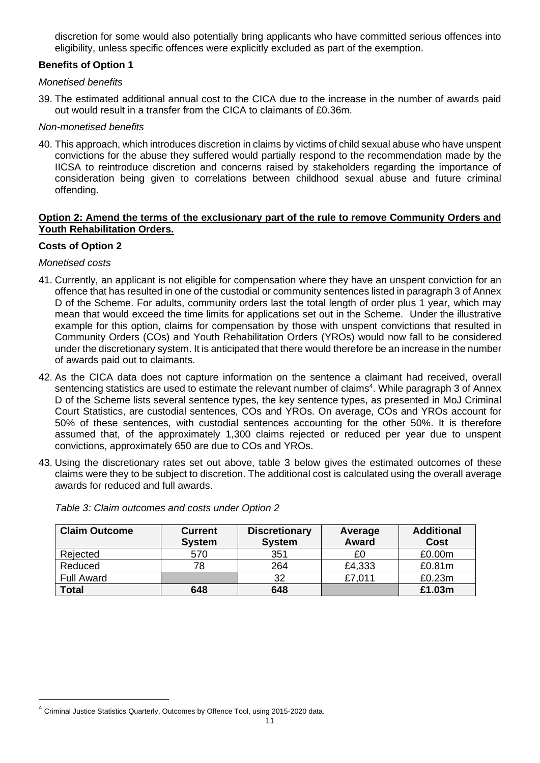discretion for some would also potentially bring applicants who have committed serious offences into eligibility, unless specific offences were explicitly excluded as part of the exemption.

#### **Benefits of Option 1**

#### *Monetised benefits*

39. The estimated additional annual cost to the CICA due to the increase in the number of awards paid out would result in a transfer from the CICA to claimants of £0.36m.

#### *Non-monetised benefits*

40. This approach, which introduces discretion in claims by victims of child sexual abuse who have unspent convictions for the abuse they suffered would partially respond to the recommendation made by the IICSA to reintroduce discretion and concerns raised by stakeholders regarding the importance of consideration being given to correlations between childhood sexual abuse and future criminal offending.

#### **Option 2: Amend the terms of the exclusionary part of the rule to remove Community Orders and Youth Rehabilitation Orders.**

#### **Costs of Option 2**

#### *Monetised costs*

- 41. Currently, an applicant is not eligible for compensation where they have an unspent conviction for an offence that has resulted in one of the custodial or community sentences listed in paragraph 3 of Annex D of the Scheme. For adults, community orders last the total length of order plus 1 year, which may mean that would exceed the time limits for applications set out in the Scheme. Under the illustrative example for this option, claims for compensation by those with unspent convictions that resulted in Community Orders (COs) and Youth Rehabilitation Orders (YROs) would now fall to be considered under the discretionary system. It is anticipated that there would therefore be an increase in the number of awards paid out to claimants.
- 42. As the CICA data does not capture information on the sentence a claimant had received, overall sentencing statistics are used to estimate the relevant number of claims<sup>4</sup>. While paragraph 3 of Annex D of the Scheme lists several sentence types, the key sentence types, as presented in MoJ Criminal Court Statistics, are custodial sentences, COs and YROs. On average, COs and YROs account for 50% of these sentences, with custodial sentences accounting for the other 50%. It is therefore assumed that, of the approximately 1,300 claims rejected or reduced per year due to unspent convictions, approximately 650 are due to COs and YROs.
- 43. Using the discretionary rates set out above, table 3 below gives the estimated outcomes of these claims were they to be subject to discretion. The additional cost is calculated using the overall average awards for reduced and full awards.

| <b>Claim Outcome</b> | <b>Current</b><br><b>System</b> | <b>Discretionary</b><br><b>System</b> | Average<br><b>Award</b> | <b>Additional</b><br><b>Cost</b> |
|----------------------|---------------------------------|---------------------------------------|-------------------------|----------------------------------|
| Rejected             | 570                             | 351                                   | £0                      | £0.00m                           |
| Reduced              | 78                              | 264                                   | £4,333                  | £0.81m                           |
| <b>Full Award</b>    |                                 | 32                                    | £7,011                  | £0.23m                           |
| <b>Total</b>         | 648                             | 648                                   |                         | £1.03m                           |

*Table 3: Claim outcomes and costs under Option 2*

<sup>&</sup>lt;sup>4</sup> Criminal Justice Statistics Quarterly, Outcomes by Offence Tool, using 2015-2020 data.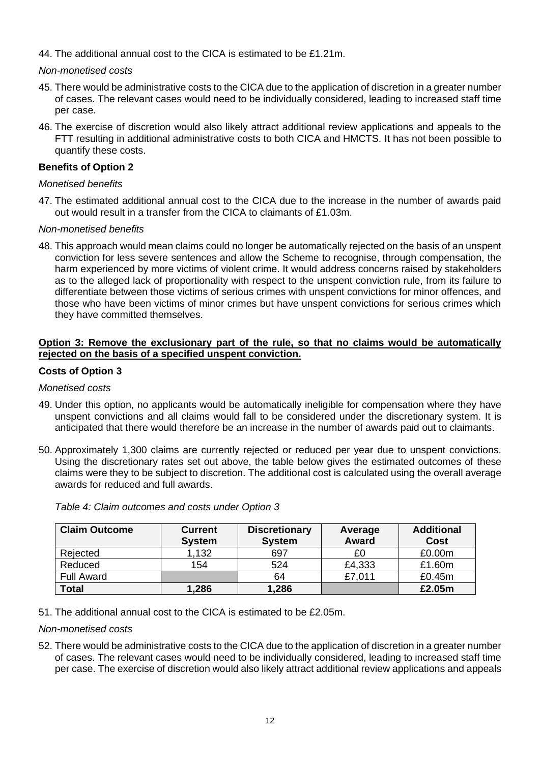44. The additional annual cost to the CICA is estimated to be £1.21m.

#### *Non-monetised costs*

- 45. There would be administrative costs to the CICA due to the application of discretion in a greater number of cases. The relevant cases would need to be individually considered, leading to increased staff time per case.
- 46. The exercise of discretion would also likely attract additional review applications and appeals to the FTT resulting in additional administrative costs to both CICA and HMCTS. It has not been possible to quantify these costs.

#### **Benefits of Option 2**

#### *Monetised benefits*

47. The estimated additional annual cost to the CICA due to the increase in the number of awards paid out would result in a transfer from the CICA to claimants of £1.03m.

#### *Non-monetised benefits*

48. This approach would mean claims could no longer be automatically rejected on the basis of an unspent conviction for less severe sentences and allow the Scheme to recognise, through compensation, the harm experienced by more victims of violent crime. It would address concerns raised by stakeholders as to the alleged lack of proportionality with respect to the unspent conviction rule, from its failure to differentiate between those victims of serious crimes with unspent convictions for minor offences, and those who have been victims of minor crimes but have unspent convictions for serious crimes which they have committed themselves.

#### **Option 3: Remove the exclusionary part of the rule, so that no claims would be automatically rejected on the basis of a specified unspent conviction.**

#### **Costs of Option 3**

#### *Monetised costs*

- 49. Under this option, no applicants would be automatically ineligible for compensation where they have unspent convictions and all claims would fall to be considered under the discretionary system. It is anticipated that there would therefore be an increase in the number of awards paid out to claimants.
- 50. Approximately 1,300 claims are currently rejected or reduced per year due to unspent convictions. Using the discretionary rates set out above, the table below gives the estimated outcomes of these claims were they to be subject to discretion. The additional cost is calculated using the overall average awards for reduced and full awards.

| <b>Claim Outcome</b> | <b>Current</b><br><b>System</b> | <b>Discretionary</b><br><b>System</b> | Average<br><b>Award</b> | <b>Additional</b><br><b>Cost</b> |
|----------------------|---------------------------------|---------------------------------------|-------------------------|----------------------------------|
| Rejected             | 1,132                           | 697                                   | £0                      | £0.00m                           |
| Reduced              | 154                             | 524                                   | £4,333                  | £1.60m                           |
| <b>Full Award</b>    |                                 | 64                                    | £7,011                  | £0.45m                           |
| <b>Total</b>         | 1,286                           | 1,286                                 |                         | £2.05m                           |

*Table 4: Claim outcomes and costs under Option 3*

51. The additional annual cost to the CICA is estimated to be £2.05m.

#### *Non-monetised costs*

52. There would be administrative costs to the CICA due to the application of discretion in a greater number of cases. The relevant cases would need to be individually considered, leading to increased staff time per case. The exercise of discretion would also likely attract additional review applications and appeals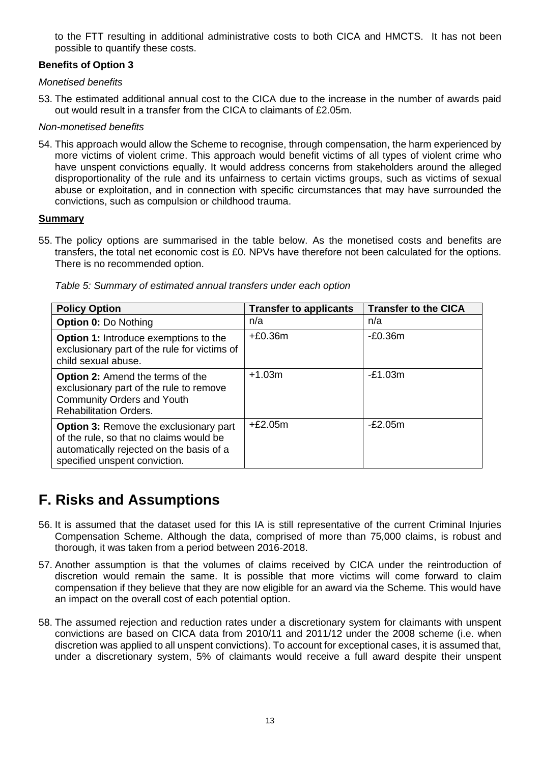to the FTT resulting in additional administrative costs to both CICA and HMCTS. It has not been possible to quantify these costs.

#### **Benefits of Option 3**

#### *Monetised benefits*

53. The estimated additional annual cost to the CICA due to the increase in the number of awards paid out would result in a transfer from the CICA to claimants of £2.05m.

#### *Non-monetised benefits*

54. This approach would allow the Scheme to recognise, through compensation, the harm experienced by more victims of violent crime. This approach would benefit victims of all types of violent crime who have unspent convictions equally. It would address concerns from stakeholders around the alleged disproportionality of the rule and its unfairness to certain victims groups, such as victims of sexual abuse or exploitation, and in connection with specific circumstances that may have surrounded the convictions, such as compulsion or childhood trauma.

#### **Summary**

55. The policy options are summarised in the table below. As the monetised costs and benefits are transfers, the total net economic cost is £0. NPVs have therefore not been calculated for the options. There is no recommended option.

| <b>Policy Option</b>                                                                                                                                                  | <b>Transfer to applicants</b> | <b>Transfer to the CICA</b> |
|-----------------------------------------------------------------------------------------------------------------------------------------------------------------------|-------------------------------|-----------------------------|
| <b>Option 0: Do Nothing</b>                                                                                                                                           | n/a                           | n/a                         |
| <b>Option 1:</b> Introduce exemptions to the<br>exclusionary part of the rule for victims of<br>child sexual abuse.                                                   | $+£0.36m$                     | $-E0.36m$                   |
| <b>Option 2:</b> Amend the terms of the<br>exclusionary part of the rule to remove<br><b>Community Orders and Youth</b><br><b>Rehabilitation Orders.</b>              | $+1.03m$                      | $-E1.03m$                   |
| <b>Option 3: Remove the exclusionary part</b><br>of the rule, so that no claims would be<br>automatically rejected on the basis of a<br>specified unspent conviction. | $+£2.05m$                     | $-E2.05m$                   |

*Table 5: Summary of estimated annual transfers under each option*

### **F. Risks and Assumptions**

- 56. It is assumed that the dataset used for this IA is still representative of the current Criminal Injuries Compensation Scheme. Although the data, comprised of more than 75,000 claims, is robust and thorough, it was taken from a period between 2016-2018.
- 57. Another assumption is that the volumes of claims received by CICA under the reintroduction of discretion would remain the same. It is possible that more victims will come forward to claim compensation if they believe that they are now eligible for an award via the Scheme. This would have an impact on the overall cost of each potential option.
- 58. The assumed rejection and reduction rates under a discretionary system for claimants with unspent convictions are based on CICA data from 2010/11 and 2011/12 under the 2008 scheme (i.e. when discretion was applied to all unspent convictions). To account for exceptional cases, it is assumed that, under a discretionary system, 5% of claimants would receive a full award despite their unspent